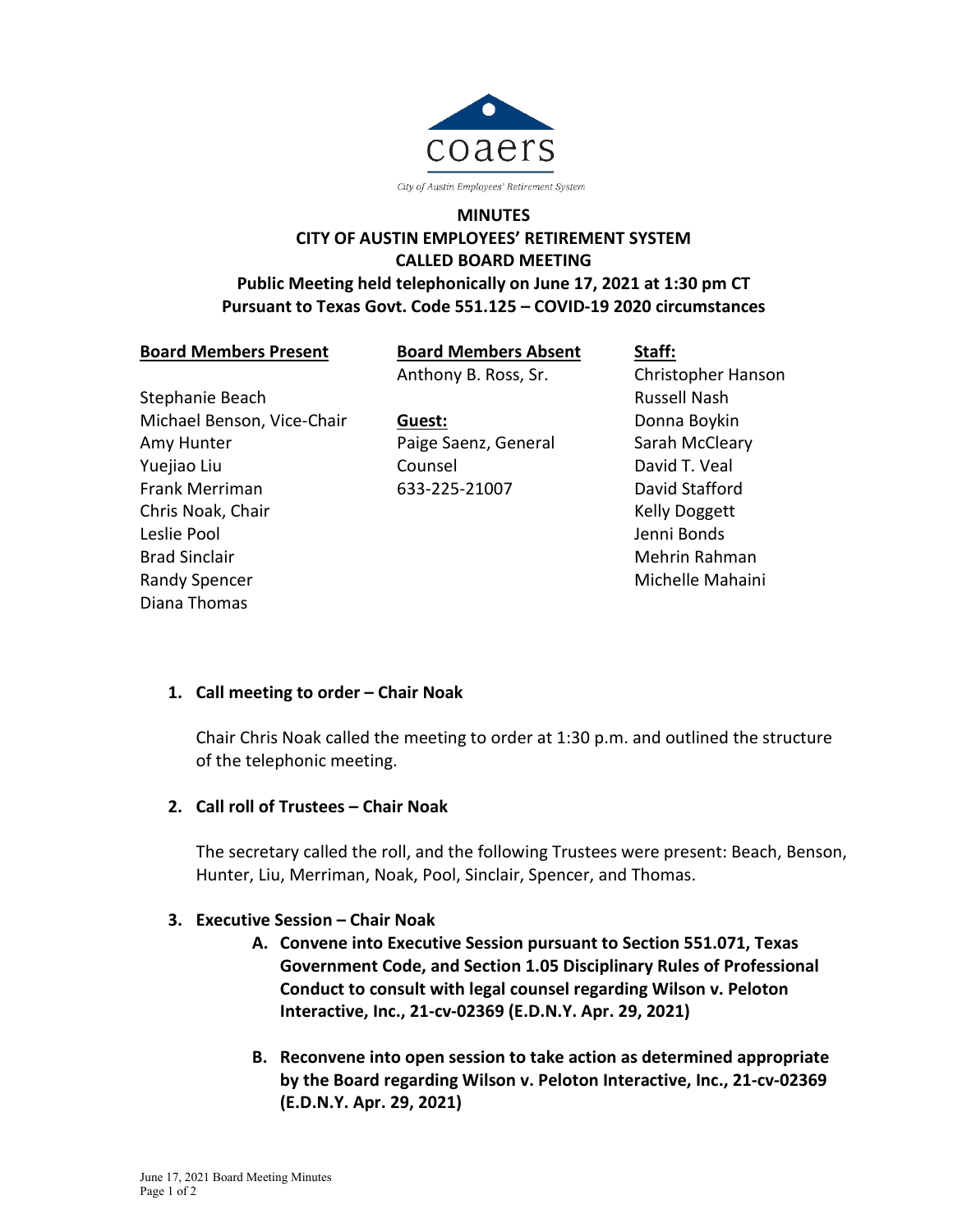

# **MINUTES CITY OF AUSTIN EMPLOYEES' RETIREMENT SYSTEM CALLED BOARD MEETING Public Meeting held telephonically on June 17, 2021 at 1:30 pm CT Pursuant to Texas Govt. Code 551.125 – COVID-19 2020 circumstances**

**Board Members Present**

**Board Members Absent** Anthony B. Ross, Sr.

Stephanie Beach Michael Benson, Vice-Chair Amy Hunter Yuejiao Liu Frank Merriman Chris Noak, Chair Leslie Pool Brad Sinclair Randy Spencer Diana Thomas

**Guest:** Paige Saenz, General Counsel 633-225-21007

**Staff:** Christopher Hanson Russell Nash Donna Boykin Sarah McCleary David T. Veal David Stafford Kelly Doggett Jenni Bonds Mehrin Rahman Michelle Mahaini

### **1. Call meeting to order – Chair Noak**

Chair Chris Noak called the meeting to order at 1:30 p.m. and outlined the structure of the telephonic meeting.

### **2. Call roll of Trustees – Chair Noak**

The secretary called the roll, and the following Trustees were present: Beach, Benson, Hunter, Liu, Merriman, Noak, Pool, Sinclair, Spencer, and Thomas.

### **3. Executive Session – Chair Noak**

- **A. Convene into Executive Session pursuant to Section 551.071, Texas Government Code, and Section 1.05 Disciplinary Rules of Professional Conduct to consult with legal counsel regarding Wilson v. Peloton Interactive, Inc., 21-cv-02369 (E.D.N.Y. Apr. 29, 2021)**
- **B. Reconvene into open session to take action as determined appropriate by the Board regarding Wilson v. Peloton Interactive, Inc., 21-cv-02369 (E.D.N.Y. Apr. 29, 2021)**